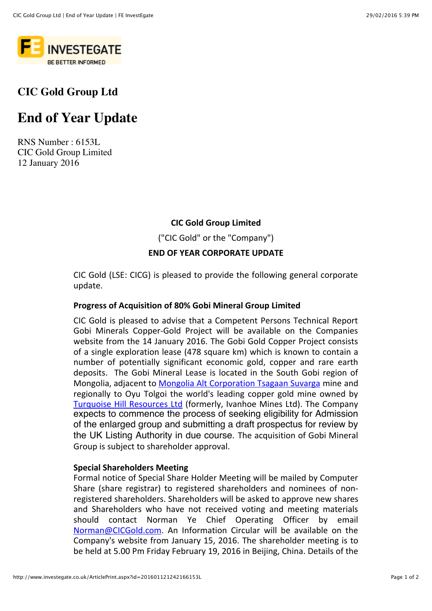

# **CIC Gold Group Ltd**

# **End of Year Update**

RNS Number : 6153L CIC Gold Group Limited 12 January 2016

### **CIC Gold Group Limited**

("CIC Gold" or the "Company")

#### **END OF YEAR CORPORATE UPDATE**

CIC Gold (LSE: CICG) is pleased to provide the following general corporate update.

#### **Progress of Acquisition of 80% Gobi Mineral Group Limited**

CIC Gold is pleased to advise that a Competent Persons Technical Report Gobi Minerals Copper-Gold Project will be available on the Companies website from the 14 January 2016. The Gobi Gold Copper Project consists of a single exploration lease (478 square km) which is known to contain a number of potentially significant economic gold, copper and rare earth deposits. The Gobi Mineral Lease is located in the South Gobi region of Mongolia, adjacent to Mongolia Alt Corporation Tsagaan Suvarga mine and regionally to Oyu Tolgoi the world's leading copper gold mine owned by Turquoise Hill Resources Ltd (formerly, Ivanhoe Mines Ltd). The Company expects to commence the process of seeking eligibility for Admission of the enlarged group and submitting a draft prospectus for review by the UK Listing Authority in due course. The acquisition of Gobi Mineral Group is subject to shareholder approval.

#### **Special Shareholders Meeting**

Formal notice of Special Share Holder Meeting will be mailed by Computer Share (share registrar) to registered shareholders and nominees of nonregistered shareholders. Shareholders will be asked to approve new shares and Shareholders who have not received voting and meeting materials should contact Norman Ye Chief Operating Officer by email Norman@CICGold.com. An Information Circular will be available on the Company's website from January 15, 2016. The shareholder meeting is to be held at 5.00 Pm Friday February 19, 2016 in Beijing, China. Details of the